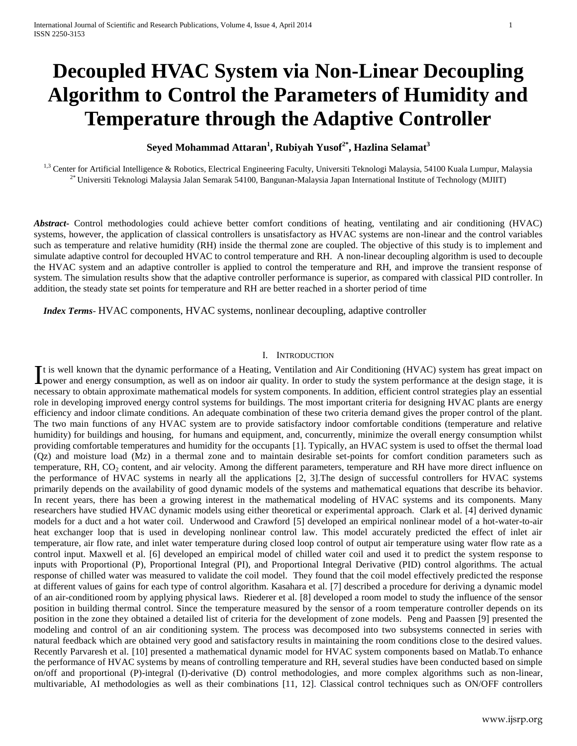# **Decoupled HVAC System via Non-Linear Decoupling Algorithm to Control the Parameters of Humidity and Temperature through the Adaptive Controller**

# **Seyed Mohammad Attaran<sup>1</sup> , Rubiyah Yusof2\*, Hazlina Selamat<sup>3</sup>**

<sup>1,3</sup> Center for Artificial Intelligence & Robotics, Electrical Engineering Faculty, Universiti Teknologi Malaysia, 54100 Kuala Lumpur, Malaysia 2\* Universiti Teknologi Malaysia Jalan Semarak 54100, Bangunan-Malaysia Japan International Institute of Technology (MJIIT)

*Abstract***-** Control methodologies could achieve better comfort conditions of heating, ventilating and air conditioning (HVAC) systems, however, the application of classical controllers is unsatisfactory as HVAC systems are non-linear and the control variables such as temperature and relative humidity (RH) inside the thermal zone are coupled. The objective of this study is to implement and simulate adaptive control for decoupled HVAC to control temperature and RH. A non-linear decoupling algorithm is used to decouple the HVAC system and an adaptive controller is applied to control the temperature and RH, and improve the transient response of system. The simulation results show that the adaptive controller performance is superior, as compared with classical PID controller. In addition, the steady state set points for temperature and RH are better reached in a shorter period of time

 *Index Terms*- HVAC components, HVAC systems, nonlinear decoupling, adaptive controller

# I. INTRODUCTION

t is well known that the dynamic performance of a Heating, Ventilation and Air Conditioning (HVAC) system has great impact on It is well known that the dynamic performance of a Heating, Ventilation and Air Conditioning (HVAC) system has great impact on power and energy consumption, as well as on indoor air quality. In order to study the system pe necessary to obtain approximate mathematical models for system components. In addition, efficient control strategies play an essential role in developing improved energy control systems for buildings. The most important criteria for designing HVAC plants are energy efficiency and indoor climate conditions. An adequate combination of these two criteria demand gives the proper control of the plant. The two main functions of any HVAC system are to provide satisfactory indoor comfortable conditions (temperature and relative humidity) for buildings and housing, for humans and equipment, and, concurrently, minimize the overall energy consumption whilst providing comfortable temperatures and humidity for the occupants [1]. Typically, an HVAC system is used to offset the thermal load (Qz) and moisture load (Mz) in a thermal zone and to maintain desirable set-points for comfort condition parameters such as temperature, RH, CO<sub>2</sub> content, and air velocity. Among the different parameters, temperature and RH have more direct influence on the performance of HVAC systems in nearly all the applications [\[2,](#page-12-0) [3\]](#page-12-1).The design of successful controllers for HVAC systems primarily depends on the availability of good dynamic models of the systems and mathematical equations that describe its behavior. In recent years, there has been a growing interest in the mathematical modeling of HVAC systems and its components. Many researchers have studied HVAC dynamic models using either theoretical or experimental approach. Clark et al. [\[4\]](#page-12-2) derived dynamic models for a duct and a hot water coil. Underwood and Crawford [5] developed an empirical nonlinear model of a hot-water-to-air heat exchanger loop that is used in developing nonlinear control law. This model accurately predicted the effect of inlet air temperature, air flow rate, and inlet water temperature during closed loop control of output air temperature using water flow rate as a control input. Maxwell et al. [\[6\]](#page-12-3) developed an empirical model of chilled water coil and used it to predict the system response to inputs with Proportional (P), Proportional Integral (PI), and Proportional Integral Derivative (PID) control algorithms. The actual response of chilled water was measured to validate the coil model. They found that the coil model effectively predicted the response at different values of gains for each type of control algorithm. Kasahara et al. [\[7\]](#page-12-4) described a procedure for deriving a dynamic model of an air-conditioned room by applying physical laws. Riederer et al. [\[8\]](#page-12-5) developed a room model to study the influence of the sensor position in building thermal control. Since the temperature measured by the sensor of a room temperature controller depends on its position in the zone they obtained a detailed list of criteria for the development of zone models. Peng and Paassen [\[9\]](#page-12-6) presented the modeling and control of an air conditioning system. The process was decomposed into two subsystems connected in series with natural feedback which are obtained very good and satisfactory results in maintaining the room conditions close to the desired values. Recently Parvaresh et al. [\[10\]](#page-12-7) presented a mathematical dynamic model for HVAC system components based on Matlab.To enhance the performance of HVAC systems by means of controlling temperature and RH, several studies have been conducted based on simple on/off and proportional (P)-integral (I)-derivative (D) control methodologies, and more complex algorithms such as non-linear, multivariable, AI methodologies as well as their combinations [\[11,](#page-12-8) [12\]](#page-12-9). Classical control techniques such as ON/OFF controllers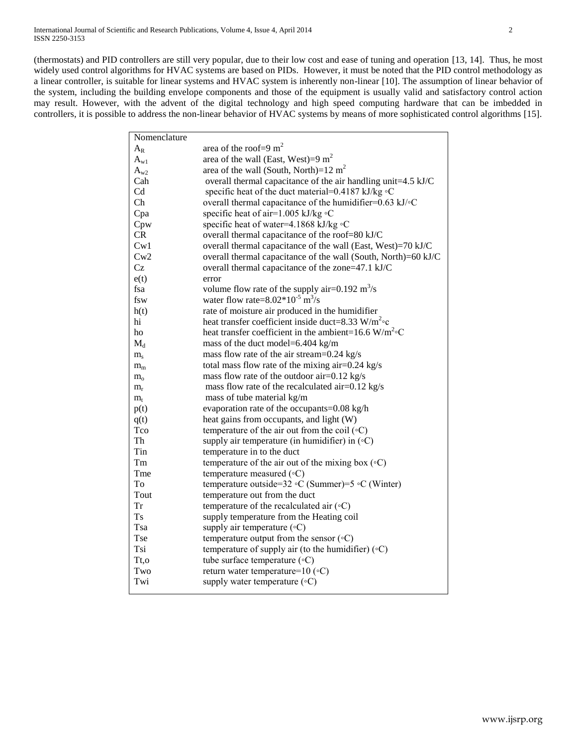(thermostats) and PID controllers are still very popular, due to their low cost and ease of tuning and operation [\[13,](#page-12-10) [14\]](#page-12-11). Thus, he most widely used control algorithms for HVAC systems are based on PIDs. However, it must be noted that the PID control methodology as a linear controller, is suitable for linear systems and HVAC system is inherently non-linear [\[10\]](#page-12-7). The assumption of linear behavior of the system, including the building envelope components and those of the equipment is usually valid and satisfactory control action may result. However, with the advent of the digital technology and high speed computing hardware that can be imbedded in controllers, it is possible to address the non-linear behavior of HVAC systems by means of more sophisticated control algorithms [\[15\]](#page-12-12).

| Nomenclature     |                                                                     |
|------------------|---------------------------------------------------------------------|
| $A_{R}$          | area of the roof=9 $m2$                                             |
| $A_{w1}$         | area of the wall (East, West)=9 $m2$                                |
| $A_{w2}$         | area of the wall (South, North)= $12 \text{ m}^2$                   |
| Cah              | overall thermal capacitance of the air handling unit=4.5 kJ/C       |
| C <sub>d</sub>   | specific heat of the duct material=0.4187 kJ/kg $\circ$ C           |
| Ch               | overall thermal capacitance of the humidifier= $0.63 \text{ kJ/eC}$ |
| Cpa              | specific heat of air=1.005 kJ/kg $\circ$ C                          |
| Cpw              | specific heat of water=4.1868 kJ/kg $\circ$ C                       |
| CR.              | overall thermal capacitance of the roof=80 kJ/C                     |
| Cw1              | overall thermal capacitance of the wall (East, West)=70 kJ/C        |
| Cw2              | overall thermal capacitance of the wall (South, North)=60 kJ/C      |
| Cz               | overall thermal capacitance of the zone=47.1 kJ/C                   |
| e(t)             | error                                                               |
| fsa              | volume flow rate of the supply air=0.192 $\text{m}^3\text{/s}$      |
| fsw              | water flow rate= $8.02*10^{-5}$ m <sup>3</sup> /s                   |
| h(t)             | rate of moisture air produced in the humidifier                     |
| hi               | heat transfer coefficient inside duct=8.33 W/m <sup>2</sup> °c      |
| ho               | heat transfer coefficient in the ambient=16.6 W/m <sup>2</sup> °C   |
| $M_d$            | mass of the duct model=6.404 kg/m                                   |
| $m_{s}$          | mass flow rate of the air stream=0.24 kg/s                          |
| $m_m$            | total mass flow rate of the mixing air=0.24 kg/s                    |
| $m_{o}$          | mass flow rate of the outdoor air=0.12 kg/s                         |
| $m_{r}$          | mass flow rate of the recalculated air= $0.12$ kg/s                 |
| $m_t$            | mass of tube material kg/m                                          |
| p(t)             | evaporation rate of the occupants=0.08 kg/h                         |
| q(t)             | heat gains from occupants, and light (W)                            |
| Tco              | temperature of the air out from the coil $({\circ}C)$               |
| Th               | supply air temperature (in humidifier) in $({\circ}C)$              |
| Tin              | temperature in to the duct                                          |
| Tm               | temperature of the air out of the mixing box $({\circ}C)$           |
| Tme              | temperature measured $({\circ}C)$                                   |
| To               | temperature outside=32 $\circ$ C (Summer)=5 $\circ$ C (Winter)      |
| Tout             | temperature out from the duct                                       |
| Tr               | temperature of the recalculated air $({\circ}C)$                    |
| <b>Ts</b>        | supply temperature from the Heating coil                            |
| Tsa              | supply air temperature $({\circ}C)$                                 |
| <b>Tse</b>       | temperature output from the sensor $({\circ}C)$                     |
| Tsi              | temperature of supply air (to the humidifier) $(°C)$                |
| T <sub>t,o</sub> | tube surface temperature $({\circ}C)$                               |
| Two              | return water temperature= $10 \degree$ C)                           |
| Twi              | supply water temperature $({\circ}C)$                               |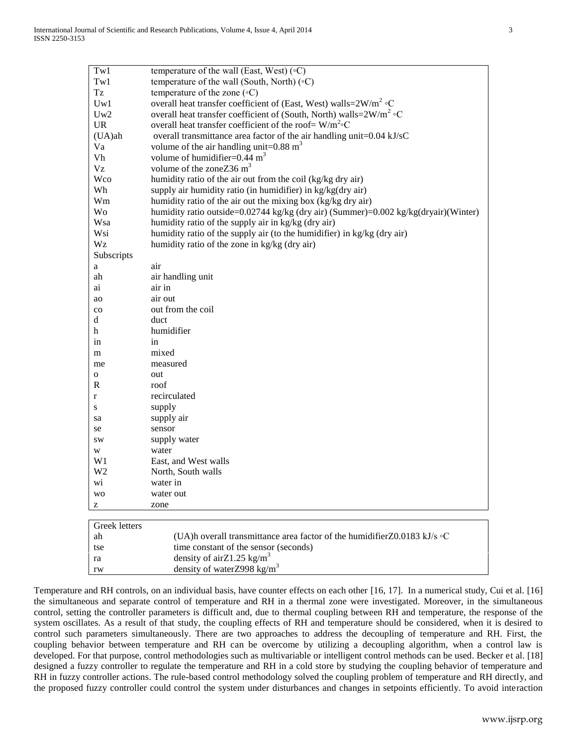| Tw1            | temperature of the wall (East, West) $({\circ}C)$                                   |
|----------------|-------------------------------------------------------------------------------------|
| Tw1            | temperature of the wall (South, North) $(\circ C)$                                  |
| Tz             | temperature of the zone $({\circ}C)$                                                |
| Uw1            | overall heat transfer coefficient of (East, West) walls= $2W/m^2$ °C                |
| Uw2            | overall heat transfer coefficient of (South, North) walls= $2W/m^2$ °C              |
| <b>UR</b>      | overall heat transfer coefficient of the roof= $W/m^2$ °C                           |
| $(UA)$ ah      | overall transmittance area factor of the air handling unit=0.04 kJ/sC               |
| Va             | volume of the air handling unit= $0.88 \text{ m}^3$                                 |
| Vh             | volume of humidifier= $0.44 \text{ m}^3$                                            |
| Vz             | volume of the zone Z36 $m3$                                                         |
| Wco            | humidity ratio of the air out from the coil (kg/kg dry air)                         |
| Wh             | supply air humidity ratio (in humidifier) in kg/kg(dry air)                         |
| Wm             | humidity ratio of the air out the mixing box (kg/kg dry air)                        |
| Wo             | humidity ratio outside=0.02744 kg/kg (dry air) (Summer)=0.002 kg/kg(dryair)(Winter) |
| Wsa            | humidity ratio of the supply air in kg/kg (dry air)                                 |
| Wsi            | humidity ratio of the supply air (to the humidifier) in kg/kg (dry air)             |
| Wz             | humidity ratio of the zone in kg/kg (dry air)                                       |
| Subscripts     |                                                                                     |
| a              | air                                                                                 |
| ah             | air handling unit                                                                   |
| ai             | air in                                                                              |
| ao             | air out                                                                             |
| $_{\rm co}$    | out from the coil                                                                   |
| d              | duct                                                                                |
| h              | humidifier                                                                          |
| 1n             | in                                                                                  |
| m              | mixed                                                                               |
| me             | measured                                                                            |
| 0              | out                                                                                 |
| R              | roof                                                                                |
| r              | recirculated                                                                        |
| S              | supply                                                                              |
| sa             | supply air                                                                          |
| se             | sensor                                                                              |
| sw             | supply water                                                                        |
| W              | water                                                                               |
| W1             | East, and West walls                                                                |
| W <sub>2</sub> | North, South walls                                                                  |
| wi             | water in                                                                            |
| WO             | water out                                                                           |
| z              | zone                                                                                |
|                |                                                                                     |
| Greek letters  |                                                                                     |
| ah             | (UA)h overall transmittance area factor of the humidifier Z0.0183 kJ/s $\circ$ C    |
| tse            | time constant of the sensor (seconds)                                               |
| ra             | density of airZ1.25 kg/m <sup>3</sup>                                               |
| rw             | density of waterZ998 kg/m <sup>3</sup>                                              |

Temperature and RH controls, on an individual basis, have counter effects on each other [\[16,](#page-12-13) [17\]](#page-12-14). In a numerical study, Cui et al. [\[16\]](#page-12-13) the simultaneous and separate control of temperature and RH in a thermal zone were investigated. Moreover, in the simultaneous control, setting the controller parameters is difficult and, due to thermal coupling between RH and temperature, the response of the system oscillates. As a result of that study, the coupling effects of RH and temperature should be considered, when it is desired to control such parameters simultaneously. There are two approaches to address the decoupling of temperature and RH. First, the coupling behavior between temperature and RH can be overcome by utilizing a decoupling algorithm, when a control law is developed. For that purpose, control methodologies such as multivariable or intelligent control methods can be used. Becker et al. [\[18\]](#page-12-15) designed a fuzzy controller to regulate the temperature and RH in a cold store by studying the coupling behavior of temperature and RH in fuzzy controller actions. The rule-based control methodology solved the coupling problem of temperature and RH directly, and the proposed fuzzy controller could control the system under disturbances and changes in setpoints efficiently. To avoid interaction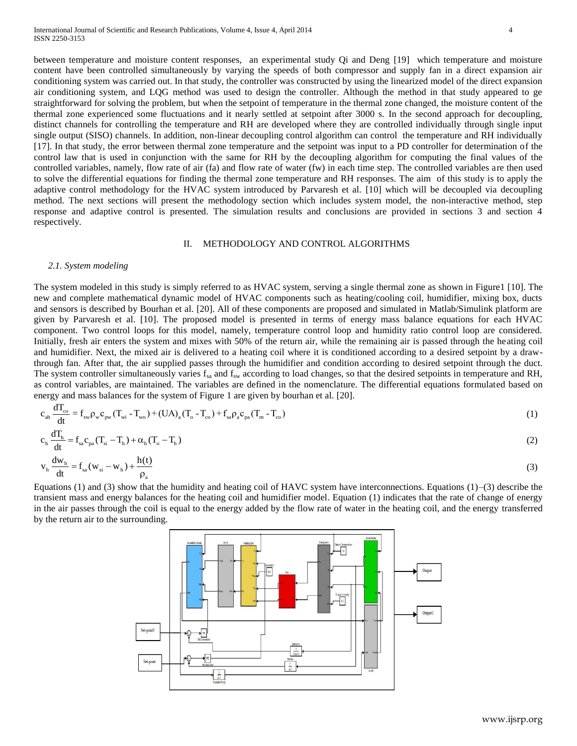between temperature and moisture content responses, an experimental study Qi and Deng [\[19\]](#page-12-16) which temperature and moisture content have been controlled simultaneously by varying the speeds of both compressor and supply fan in a direct expansion air conditioning system was carried out. In that study, the controller was constructed by using the linearized model of the direct expansion air conditioning system, and LQG method was used to design the controller. Although the method in that study appeared to ge straightforward for solving the problem, but when the setpoint of temperature in the thermal zone changed, the moisture content of the thermal zone experienced some fluctuations and it nearly settled at setpoint after 3000 s. In the second approach for decoupling, distinct channels for controlling the temperature and RH are developed where they are controlled individually through single input single output (SISO) channels. In addition, non-linear decoupling control algorithm can control the temperature and RH individually [\[17\]](#page-12-14). In that study, the error between thermal zone temperature and the setpoint was input to a PD controller for determination of the control law that is used in conjunction with the same for RH by the decoupling algorithm for computing the final values of the controlled variables, namely, flow rate of air (fa) and flow rate of water (fw) in each time step. The controlled variables are then used to solve the differential equations for finding the thermal zone temperature and RH responses. The aim of this study is to apply the adaptive control methodology for the HVAC system introduced by Parvaresh et al. [\[10\]](#page-12-7) which will be decoupled via decoupling method. The next sections will present the methodology section which includes system model, the non-interactive method, step response and adaptive control is presented. The simulation results and conclusions are provided in sections 3 and section 4 respectively.

# II. METHODOLOGY AND CONTROL ALGORITHMS

#### *2.1. System modeling*

The system modeled in this study is simply referred to as HVAC system, serving a single thermal zone as shown in Figure1 [\[10\]](#page-12-7). The new and complete mathematical dynamic model of HVAC components such as heating/cooling coil, humidifier, mixing box, ducts and sensors is described by Bourhan et al. [\[20\]](#page-12-17). All of these components are proposed and simulated in Matlab/Simulink platform are given by Parvaresh et al. [\[10\]](#page-12-7). The proposed model is presented in terms of energy mass balance equations for each HVAC component. Two control loops for this model, namely, temperature control loop and humidity ratio control loop are considered. Initially, fresh air enters the system and mixes with 50% of the return air, while the remaining air is passed through the heating coil and humidifier. Next, the mixed air is delivered to a heating coil where it is conditioned according to a desired setpoint by a drawthrough fan. After that, the air supplied passes through the humidifier and condition according to desired setpoint through the duct. The system controller simultaneously varies  $f_{sa}$  and  $f_{sw}$  according to load changes, so that the desired setpoints in temperature and RH, as control variables, are maintained. The variables are defined in the nomenclature. The differential equations formulated based on

energy and mass balances for the system of Figure 1 are given by bourhan et al. [20].  
\n
$$
c_{ah} \frac{dT_{co}}{dt} = f_{sw} \rho_w c_{pw} (T_{wi} - T_{wo}) + (UA)_a (T_o - T_{co}) + f_{sa} \rho_a c_{pa} (T_m - T_{co})
$$
\n(1)

$$
c_{h} \frac{dT_{h}}{dt} = f_{sa} c_{pa} (T_{si} - T_{h}) + \alpha_{h} (T_{o} - T_{h})
$$
\n
$$
v_{h} \frac{dw_{h}}{dt} = f_{sa} (w_{si} - w_{h}) + \frac{h(t)}{t}
$$
\n(2)

$$
v_h \frac{d v_h}{dt} = f_{sa}(w_{si} - w_h) + \frac{n(v)}{\rho_a}
$$
 (3)

Equations (1) and (3) show that the humidity and heating coil of HAVC system have interconnections. Equations (1)–(3) describe the transient mass and energy balances for the heating coil and humidifier model. Equation (1) indicates that the rate of change of energy in the air passes through the coil is equal to the energy added by the flow rate of water in the heating coil, and the energy transferred by the return air to the surrounding.

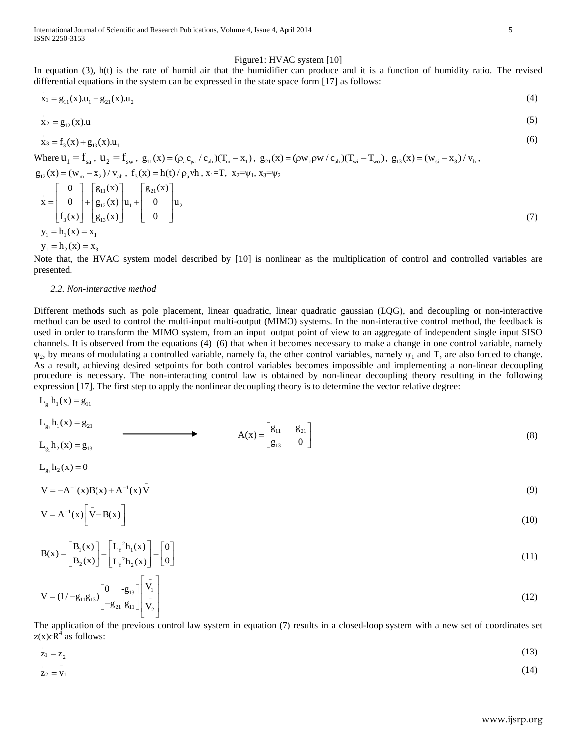#### Figure1: HVAC system [\[10\]](#page-12-7)

In equation (3), h(t) is the rate of humid air that the humidifier can produce and it is a function of humidity ratio. The revised differential equations in the system can be expressed in the state space form [\[17\]](#page-12-14) as follows:

$$
x_1 = g_{11}(x) \cdot u_1 + g_{21}(x) \cdot u_2 \tag{4}
$$

$$
x_2 = g_{12}(x) . u_1 \tag{5}
$$

$$
x_3 = f_3(x) + g_{13}(x) \cdot u_1
$$

Where  $u_1 = f_{sa}$ ,  $u_2 = f_{sw}$ ,  $g_{11}(x) = (\rho_a c_{pa} / c_{ah})(T_m - x_1)$ ,  $g_{21}(x) = (\rho w_c \rho w / c_{ah})(T_{wi} - T_{wo})$ ,  $g_{13}(x) = (w_{si} - x_3) / v_h$ ,  $g_{12}(x) = (w_m - x_2) / v_{ah}$ ,  $f_3(x) = h(t) / \rho_a$  vh,  $x_1 = T$ ,  $x_2 = \psi_1, x_3 = \psi_2$  $\mathbf{x} = \begin{bmatrix} 0 \\ 0 \\ 1 \end{bmatrix} + \begin{bmatrix} g_{11}(\mathbf{x}) \\ g_{12}(\mathbf{x}) \end{bmatrix} \mathbf{u}_1 + \begin{bmatrix} g_{21}(\mathbf{x}) \\ 0 \\ 1 \end{bmatrix} \mathbf{u}_2$  $3^{(A)}$ ] [ $8_{13}$ ]  $\begin{bmatrix} 0 \\ 0 \end{bmatrix}$   $\begin{bmatrix} g_{11}(x) \\ g_{21}(x) \end{bmatrix}$   $\begin{bmatrix} g_{21}(x) \\ g_{31}(x) \end{bmatrix}$  $\mathbf{x} = \begin{bmatrix} 0 \\ 0 \\ 0 \end{bmatrix} + \begin{bmatrix} \mathcal{B}_{11}(x) \\ \mathcal{B}_{12}(x) \\ u_1 + \begin{bmatrix} \mathcal{B}_{21}(x) \\ 0 \end{bmatrix} u_1$  $\begin{bmatrix} 0 \\ f_3(x) \end{bmatrix}$   $\begin{bmatrix} g_{12}(x) \\ g_{13}(x) \end{bmatrix}$   $\begin{bmatrix} u_1 \\ u_2 \end{bmatrix}$   $\begin{bmatrix} 0 \\ 0 \end{bmatrix}$  $\begin{bmatrix} 0 \\ 0 \end{bmatrix}$   $\begin{bmatrix} g_{11}(x) \\ g_{21}(x) \end{bmatrix}$   $\begin{bmatrix} g_{21}(x) \\ g_{31}(x) \end{bmatrix}$  $= \begin{bmatrix} 0 \\ 0 \\ 0 \end{bmatrix} + \begin{bmatrix} g_{11}(x) \\ g_{12}(x) \\ u_1 + \begin{bmatrix} g_{21}(x) \\ 0 \\ 0 \end{bmatrix} u_2$  $\begin{bmatrix} 0 \\ f_3(x) \end{bmatrix}^+ \begin{bmatrix} g_{12}(x) \\ g_{13}(x) \end{bmatrix}^{u_1} + \begin{bmatrix} 0 \\ 0 \end{bmatrix}^{u_2}$  $y_1 = h_1(x) = x_1$ (7)

 $y_1 = h_2(x) = x_3$ 

.

Note that, the HVAC system model described by [\[10\]](#page-12-7) is nonlinear as the multiplication of control and controlled variables are presented.

#### *2.2. Non-interactive method*

Different methods such as pole placement, linear quadratic, linear quadratic gaussian (LQG), and decoupling or non-interactive method can be used to control the multi-input multi-output (MIMO) systems. In the non-interactive control method, the feedback is used in order to transform the MIMO system, from an input–output point of view to an aggregate of independent single input SISO channels. It is observed from the equations (4)–(6) that when it becomes necessary to make a change in one control variable, namely  $\psi_2$ , by means of modulating a controlled variable, namely fa, the other control variables, namely  $\psi_1$  and T, are also forced to change. As a result, achieving desired setpoints for both control variables becomes impossible and implementing a non-linear decoupling procedure is necessary. The non-interacting control law is obtained by non-linear decoupling theory resulting in the following expression [\[17\]](#page-12-14). The first step to apply the nonlinear decoupling theory is to determine the vector relative degree:

$$
L_{g_1}h_1(x) = g_{11}
$$
  
\n
$$
L_{g_2}h_1(x) = g_{21}
$$
  
\n
$$
L_{g_1}h_2(x) = g_{13}
$$
  
\n
$$
L_{g_2}h_2(x) = 0
$$
  
\n(8)

$$
V = -A^{-1}(x)B(x) + A^{-1}(x)\bar{V}
$$
 (9)

$$
V = A^{-1}(x) \left[ \bar{V} - B(x) \right] \tag{10}
$$

$$
\mathbf{B}(\mathbf{x}) = \begin{bmatrix} \mathbf{B}_1(\mathbf{x}) \\ \mathbf{B}_2(\mathbf{x}) \end{bmatrix} = \begin{bmatrix} \mathbf{L}_f{}^2 \mathbf{h}_1(\mathbf{x}) \\ \mathbf{L}_f{}^2 \mathbf{h}_2(\mathbf{x}) \end{bmatrix} = \begin{bmatrix} 0 \\ 0 \end{bmatrix}
$$
\n(11)

$$
V = (1 - g_{11}g_{13}) \begin{bmatrix} 0 & -g_{13} \\ -g_{21} & g_{11} \end{bmatrix} \begin{bmatrix} \bar{V}_1 \\ \bar{V}_2 \end{bmatrix}
$$
(12)

The application of the previous control law system in equation (7) results in a closed-loop system with a new set of coordinates set  $z(x) \in \mathbb{R}^4$  as follows:

$$
z_1 = z_2 \tag{13}
$$

$$
z_2 = v_1 \tag{14}
$$

(6)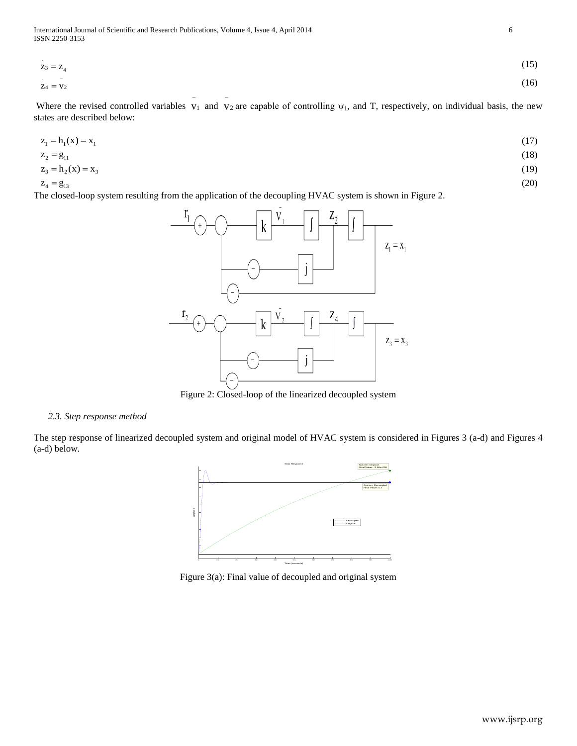-

$$
z_3 = z_4 \tag{15}
$$
\n
$$
z_4 = v_2 \tag{16}
$$

Where the revised controlled variables  $v_1$  and  $v_2$  are capable of controlling  $\psi_1$ , and T, respectively, on individual basis, the new states are described below:

$$
z_1 = h_1(x) = x_1 \tag{17}
$$

$$
z_2 = g_{11} \tag{18}
$$
  

$$
z_3 = h_2(x) = x_3 \tag{19}
$$

$$
Z_3 = \Pi_2(X)
$$

 $Z_4 = g_{13}$ 

The closed-loop system resulting from the application of the decoupling HVAC system is shown in Figure 2.

 $\overline{a}$ 



Figure 2: Closed-loop of the linearized decoupled system

# *2.3. Step response method*

The step response of linearized decoupled system and original model of HVAC system is considered in Figures 3 (a-d) and Figures 4 (a-d) below.



Figure 3(a): Final value of decoupled and original system

(20)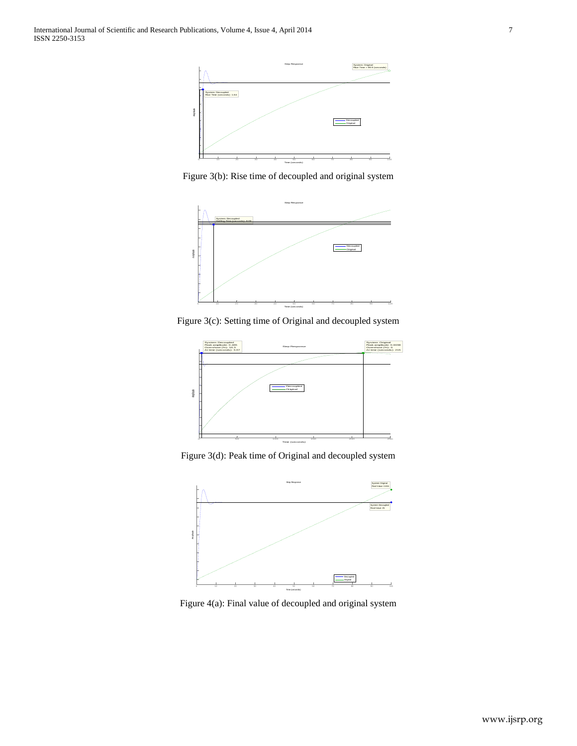

Figure 3(b): Rise time of decoupled and original system



Figure 3(c): Setting time of Original and decoupled system



Figure 3(d): Peak time of Original and decoupled system



Figure 4(a): Final value of decoupled and original system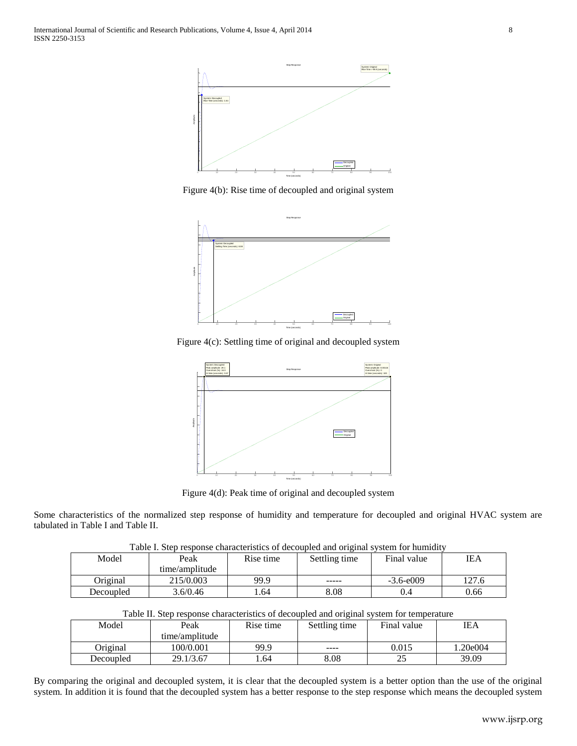

Figure 4(b): Rise time of decoupled and original system



Figure 4(c): Settling time of original and decoupled system



Figure 4(d): Peak time of original and decoupled system

Some characteristics of the normalized step response of humidity and temperature for decoupled and original HVAC system are tabulated in Table I and Table II.

| Table I. Steb Resbonse characteristics of decoupled and offenial system for hummuly |                |           |               |               |      |
|-------------------------------------------------------------------------------------|----------------|-----------|---------------|---------------|------|
| Model                                                                               | Peak           | Rise time | Settling time | Final value   | IEA  |
|                                                                                     | time/amplitude |           |               |               |      |
| Original                                                                            | 215/0.003      | 99.9      | -----         | $-3.6 - e009$ | 27.6 |
| Decoupled                                                                           | 3.6/0.46       | .64       | 8.08          | 0.4           | 0.66 |

|  |  | Table I. Step response characteristics of decoupled and original system for humidity |
|--|--|--------------------------------------------------------------------------------------|
|  |  |                                                                                      |
|  |  |                                                                                      |

| Table II. Step response characteristics of decoupled and original system for temperature |                |           |               |             |            |
|------------------------------------------------------------------------------------------|----------------|-----------|---------------|-------------|------------|
| Model                                                                                    | Peak           | Rise time | Settling time | Final value | <b>IEA</b> |
|                                                                                          | time/amplitude |           |               |             |            |
| Original                                                                                 | 100/0.001      | 99.9      | ----          | 0.015       | 1.20e004   |
| Decoupled                                                                                | 29.1/3.67      | .64       | 8.08          |             | 39.09      |

By comparing the original and decoupled system, it is clear that the decoupled system is a better option than the use of the original system. In addition it is found that the decoupled system has a better response to the step response which means the decoupled system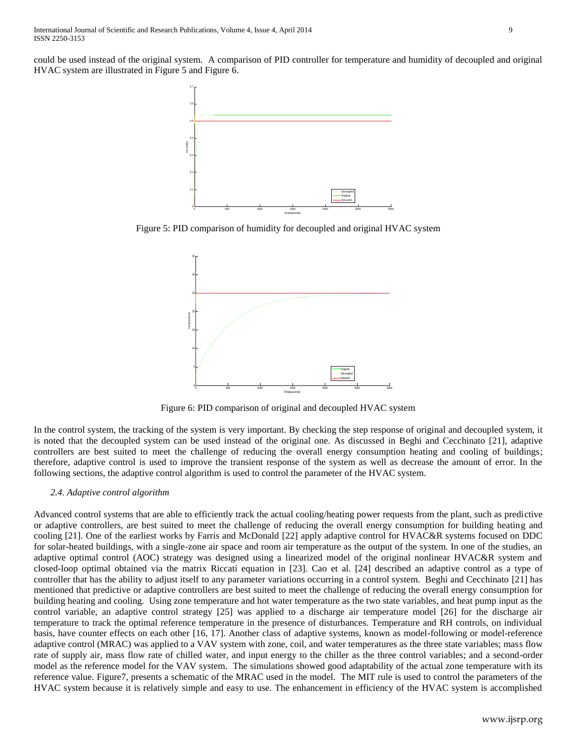could be used instead of the original system. A comparison of PID controller for temperature and humidity of decoupled and original HVAC system are illustrated in Figure 5 and Figure 6.



Figure 5: PID comparison of humidity for decoupled and original HVAC system



Figure 6: PID comparison of original and decoupled HVAC system

In the control system, the tracking of the system is very important. By checking the step response of original and decoupled system, it is noted that the decoupled system can be used instead of the original one. As discussed in Beghi and Cecchinato [\[21\]](#page-12-18), adaptive controllers are best suited to meet the challenge of reducing the overall energy consumption heating and cooling of buildings; therefore, adaptive control is used to improve the transient response of the system as well as decrease the amount of error. In the following sections, the adaptive control algorithm is used to control the parameter of the HVAC system.

# *2.4. Adaptive control algorithm*

Advanced control systems that are able to efficiently track the actual cooling/heating power requests from the plant, such as predictive or adaptive controllers, are best suited to meet the challenge of reducing the overall energy consumption for building heating and cooling [\[21\]](#page-12-18). One of the earliest works by Farris and McDonald [\[22\]](#page-12-19) apply adaptive control for HVAC&R systems focused on DDC for solar-heated buildings, with a single-zone air space and room air temperature as the output of the system. In one of the studies, an adaptive optimal control (AOC) strategy was designed using a linearized model of the original nonlinear HVAC&R system and closed-loop optimal obtained via the matrix Riccati equation in [\[23\]](#page-12-20). Cao et al. [\[24\]](#page-12-21) described an adaptive control as a type of controller that has the ability to adjust itself to any parameter variations occurring in a control system. Beghi and Cecchinato [\[21\]](#page-12-18) has mentioned that predictive or adaptive controllers are best suited to meet the challenge of reducing the overall energy consumption for building heating and cooling. Using zone temperature and hot water temperature as the two state variables, and heat pump input as the control variable, an adaptive control strategy [\[25\]](#page-12-22) was applied to a discharge air temperature model [\[26\]](#page-12-23) for the discharge air temperature to track the optimal reference temperature in the presence of disturbances. Temperature and RH controls, on individual basis, have counter effects on each other [\[16,](#page-12-13) [17\]](#page-12-14). Another class of adaptive systems, known as model-following or model-reference adaptive control (MRAC) was applied to a VAV system with zone, coil, and water temperatures as the three state variables; mass flow rate of supply air, mass flow rate of chilled water, and input energy to the chiller as the three control variables; and a second-order model as the reference model for the VAV system. The simulations showed good adaptability of the actual zone temperature with its reference value. Figure7, presents a schematic of the MRAC used in the model. The MIT rule is used to control the parameters of the HVAC system because it is relatively simple and easy to use. The enhancement in efficiency of the HVAC system is accomplished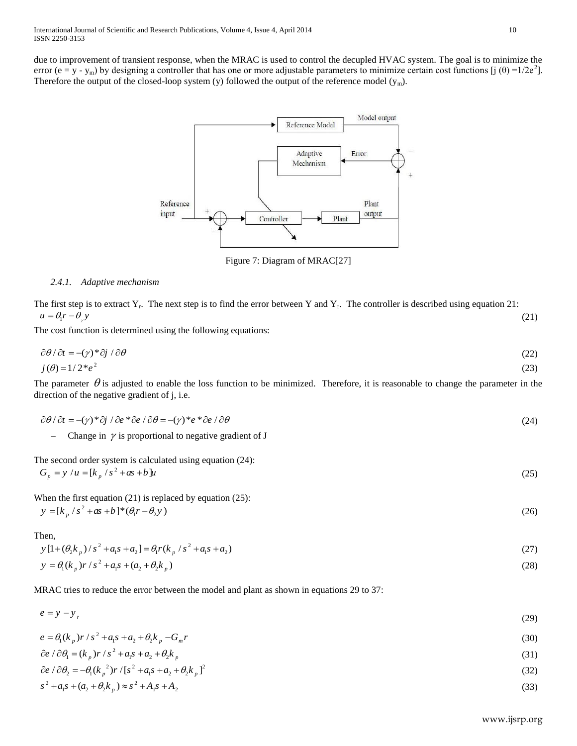due to improvement of transient response, when the MRAC is used to control the decupled HVAC system. The goal is to minimize the error (e = y - y<sub>m</sub>) by designing a controller that has one or more adjustable parameters to minimize certain cost functions [j (θ) =1/2e<sup>2</sup>]. Therefore the output of the closed-loop system (y) followed the output of the reference model (ym).



Figure 7: Diagram of MRAC[\[27\]](#page-12-24)

# *2.4.1. Adaptive mechanism*

The first step is to extract  $Y_r$ . The next step is to find the error between Y and  $Y_r$ . The controller is described using equation 21:  $u = \theta_1 r - \theta_2 y$ (21)

The cost function is determined using the following equations:

$$
\frac{\partial \theta}{\partial t} = -(\gamma)^* \frac{\partial j}{\partial \theta}
$$
\n
$$
j(\theta) = 1/2^* e^2
$$
\n(23)

The parameter  $\theta$  is adjusted to enable the loss function to be minimized. Therefore, it is reasonable to change the parameter in the direction of the negative gradient of j, i.e.

$$
\partial \theta / \partial t = -(\gamma)^* \partial j / \partial e^* \partial e / \partial \theta = -(\gamma)^* e^* \partial e / \partial \theta
$$
\n(24)

- Change in  $\gamma$  is proportional to negative gradient of J

The second order system is calculated using equation (24):  
\n
$$
G_p = y / u = [k_p / s^2 + as + b]u
$$
\n(25)

When the first equation (21) is replaced by equation (25):  $y = [k_p / s^2 + as + b]^* (\theta_1 r - \theta_2 y)$ 

Then,

Then,  
\n
$$
y[1+(\theta_2 k_p)/s^2 + a_1 s + a_2] = \theta_1 r(k_p/s^2 + a_1 s + a_2)
$$
\n(27)

$$
y = \theta_1(k_p)r/s^2 + a_1s + (a_2 + \theta_2k_p)
$$
\n(28)

MRAC tries to reduce the error between the model and plant as shown in equations 29 to 37:

 $e = y - y_r$ (29)

$$
e = \theta_1(k_p) r / s^2 + a_1 s + a_2 + \theta_2 k_p - G_m r
$$
\n(30)

$$
\partial e / \partial \theta_1 = (k_p) r / s^2 + a_1 s + a_2 + \theta_2 k_p
$$
\n(31)

$$
\begin{aligned}\n\partial e / \partial \theta_1 &= (\kappa_p) r / s + a_1 s + a_2 + b_2 \kappa_p\n\end{aligned}\n\tag{31}
$$
\n
$$
\partial e / \partial \theta_2 = -\theta_1 (\kappa_p^2) r / [s^2 + a_1 s + a_2 + \theta_2 k_p]^2\n\tag{32}
$$

$$
s^{2} + a_{1}s + (a_{2} + \theta_{2}k_{p}) \approx s^{2} + A_{1}s + A_{2}
$$
\n(33)

(26)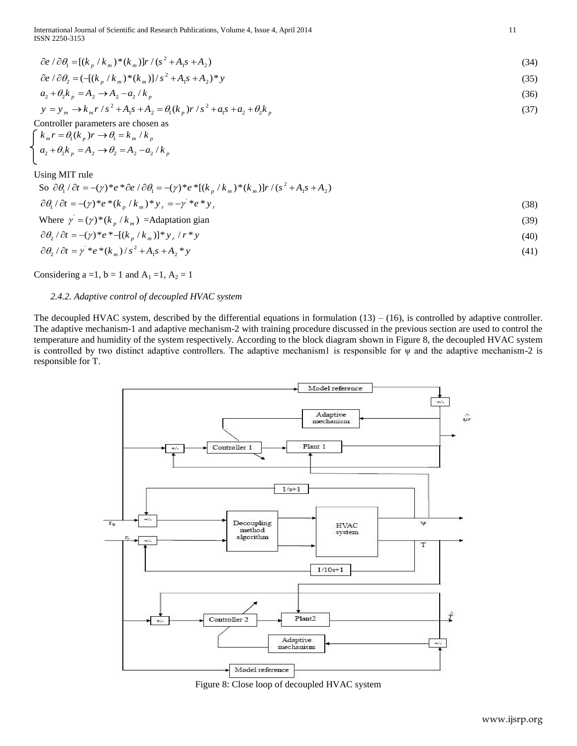International Journal of Scientific and Research Publications, Volume 4, Issue 4, April 2014 11 ISSN 2250-3153

$$
\partial e / \partial \theta_1 = [(k_p / k_m)^* (k_m)] r / (s^2 + A_1 s + A_2)
$$
\n(34)

$$
\partial e / \partial \theta_1 = [(k_p / k_m)^* (k_m)] r / (s^2 + A_1 s + A_2)
$$
\n
$$
\partial e / \partial \theta_2 = (-(k_p / k_m)^* (k_m)) / (s^2 + A_1 s + A_2)^* y
$$
\n(35)

$$
a_2 + \theta_2 k_p = A_2 \rightarrow A_2 - a_2 / k_p
$$
  
\n
$$
v = v \rightarrow k r / s^2 + A_2 s + A_3 = \theta (k) r / s^2 + a_2 s + a_3 + \theta k
$$
 (37)

$$
a_2 + \theta_2 k_p = A_2 \rightarrow A_2 - a_2 / k_p
$$
  
\n
$$
y = y_m \rightarrow k_m r / s^2 + A_1 s + A_2 = \theta_1 (k_p) r / s^2 + a_1 s + a_2 + \theta_2 k_p
$$
\n(37)

Controller parameters are chosen as

\n
$$
\begin{cases}\n k_m r = \theta_1(k_p) r \rightarrow \theta_1 = k_m / k_p \\
a_2 + \theta_2 k_p = A_2 \rightarrow \theta_2 = A_2 - a_2 / k_p\n\end{cases}
$$

Using MIT rule

| Jsing MIT rule                                                                                                                                             |      |
|------------------------------------------------------------------------------------------------------------------------------------------------------------|------|
| So $\partial \theta_1 / \partial t = -(\gamma)^* e^* \partial e / \partial \theta_1 = -(\gamma)^* e^* [(k_{p} / k_{m})^* (k_{m})] r / (s^2 + A_1 s + A_2)$ |      |
| $\partial \theta_1 / \partial t = (\gamma)^* e^* (k_n / k_m)^* y_r = -\gamma^* e^* y_r$                                                                    | (38) |
| Where $\gamma = (\gamma)^*(k_p / k_m)$ =Adaptation gian                                                                                                    | (39) |

Where 
$$
\gamma = (\gamma)^* (k_p / k_m)
$$
 =Adaptation gan  
\n $\partial \theta_2 / \partial t = -(\gamma)^* e^* - [(k_p / k_m)]^* y_r / r^* y$  (40)

$$
\partial \theta_2 / \partial t = \gamma^* e^* (k_m) / s^2 + A_1 s + A_2^* y \tag{40}
$$
  

$$
\partial \theta_2 / \partial t = \gamma^* e^* (k_m) / s^2 + A_1 s + A_2^* y \tag{41}
$$

Considering a =1, b = 1 and  $A_1$  =1,  $A_2$  = 1

# *2.4.2. Adaptive control of decoupled HVAC system*

The decoupled HVAC system, described by the differential equations in formulation  $(13) - (16)$ , is controlled by adaptive controller. The adaptive mechanism-1 and adaptive mechanism-2 with training procedure discussed in the previous section are used to control the temperature and humidity of the system respectively. According to the block diagram shown in Figure 8, the decoupled HVAC system is controlled by two distinct adaptive controllers. The adaptive mechanism1 is responsible for  $\psi$  and the adaptive mechanism-2 is responsible for T.



Figure 8: Close loop of decoupled HVAC system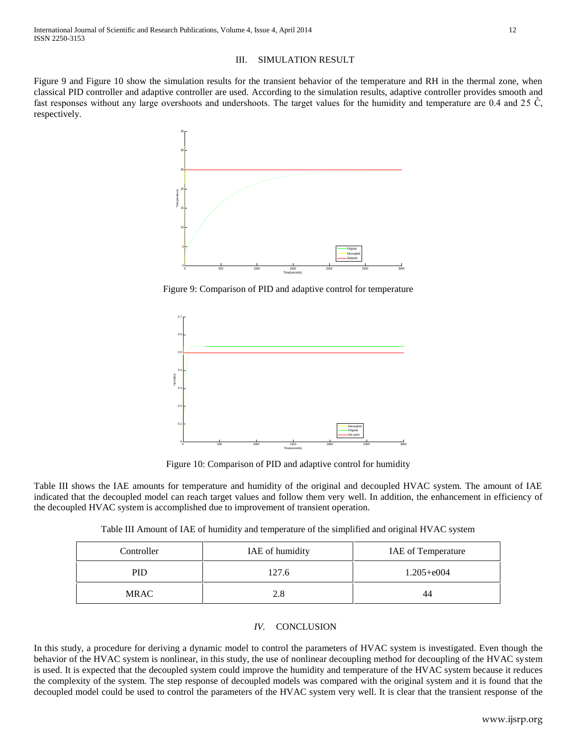# III. SIMULATION RESULT

Figure 9 and Figure 10 show the simulation results for the transient behavior of the temperature and RH in the thermal zone, when classical PID controller and adaptive controller are used. According to the simulation results, adaptive controller provides smooth and fast responses without any large overshoots and undershoots. The target values for the humidity and temperature are 0.4 and 25  $\mathring{C}$ , respectively.



Figure 9: Comparison of PID and adaptive control for temperature



Figure 10: Comparison of PID and adaptive control for humidity

Table III shows the IAE amounts for temperature and humidity of the original and decoupled HVAC system. The amount of IAE indicated that the decoupled model can reach target values and follow them very well. In addition, the enhancement in efficiency of the decoupled HVAC system is accomplished due to improvement of transient operation.

Table III Amount of IAE of humidity and temperature of the simplified and original HVAC system

| Controller  | IAE of humidity | IAE of Temperature |
|-------------|-----------------|--------------------|
| <b>PID</b>  | 127.6           | $1.205 + e004$     |
| <b>MRAC</b> | 2.8             | 44                 |

# *IV.* CONCLUSION

In this study, a procedure for deriving a dynamic model to control the parameters of HVAC system is investigated. Even though the behavior of the HVAC system is nonlinear, in this study, the use of nonlinear decoupling method for decoupling of the HVAC system is used. It is expected that the decoupled system could improve the humidity and temperature of the HVAC system because it reduces the complexity of the system. The step response of decoupled models was compared with the original system and it is found that the decoupled model could be used to control the parameters of the HVAC system very well. It is clear that the transient response of the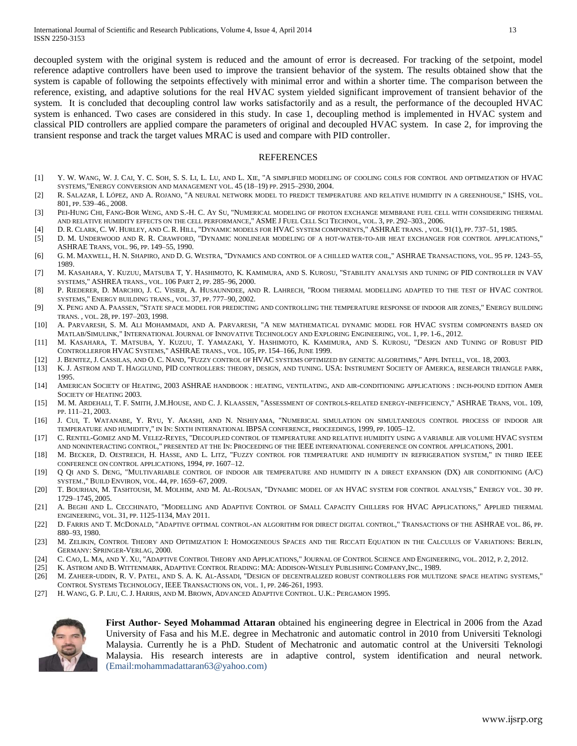decoupled system with the original system is reduced and the amount of error is decreased. For tracking of the setpoint, model reference adaptive controllers have been used to improve the transient behavior of the system. The results obtained show that the system is capable of following the setpoints effectively with minimal error and within a shorter time. The comparison between the reference, existing, and adaptive solutions for the real HVAC system yielded significant improvement of transient behavior of the system. It is concluded that decoupling control law works satisfactorily and as a result, the performance of the decoupled HVAC system is enhanced. Two cases are considered in this study. In case 1, decoupling method is implemented in HVAC system and classical PID controllers are applied compare the parameters of original and decoupled HVAC system. In case 2, for improving the transient response and track the target values MRAC is used and compare with PID controller.

### REFERENCES

- [1] Y. W. WANG, W. J. CAI, Y. C. SOH, S. S. LI, L. LU, AND L. XIE, "A SIMPLIFIED MODELING OF COOLING COILS FOR CONTROL AND OPTIMIZATION OF HVAC SYSTEMS,"ENERGY CONVERSION AND MANAGEMENT VOL. 45 (18–19) PP. 2915–2930, 2004.
- <span id="page-12-0"></span>[2] R. SALAZAR, I. LÓPEZ, AND A. ROJANO, "A NEURAL NETWORK MODEL TO PREDICT TEMPERATURE AND RELATIVE HUMIDITY IN A GREENHOUSE," ISHS, VOL. 801, PP. 539–46., 2008.
- <span id="page-12-1"></span>[3] PEI-HUNG CHI, FANG-BOR WENG, AND S.-H. C. AY SU, "NUMERICAL MODELING OF PROTON EXCHANGE MEMBRANE FUEL CELL WITH CONSIDERING THERMAL AND RELATIVE HUMIDITY EFFECTS ON THE CELL PERFORMANCE," ASME J FUEL CELL SCI TECHNOL, VOL. 3, PP. 292–303., 2006.
- <span id="page-12-2"></span>[4] D. R. CLARK, C. W. HURLEY, AND C. R. HILL, "DYNAMIC MODELS FOR HVAC SYSTEM COMPONENTS," ASHRAE TRANS. , VOL. 91(1), PP. 737–51, 1985.
- [5] D. M. UNDERWOOD AND R. R. CRAWFORD, "DYNAMIC NONLINEAR MODELING OF A HOT-WATER-TO-AIR HEAT EXCHANGER FOR CONTROL APPLICATIONS," ASHRAE TRANS, VOL. 96, PP. 149–55, 1990.
- <span id="page-12-3"></span>[6] G. M. MAXWELL, H. N. SHAPIRO, AND D. G. WESTRA, "DYNAMICS AND CONTROL OF A CHILLED WATER COIL," ASHRAE TRANSACTIONS, VOL. 95 PP. 1243–55, 1989.
- <span id="page-12-4"></span>[7] M. KASAHARA, Y. KUZUU, MATSUBA T, Y. HASHIMOTO, K. KAMIMURA, AND S. KUROSU, "STABILITY ANALYSIS AND TUNING OF PID CONTROLLER IN VAV SYSTEMS," ASHREA TRANS., VOL. 106 PART 2, PP. 285–96, 2000.
- <span id="page-12-5"></span>[8] P. RIEDERER, D. MARCHIO, J. C. VISIER, A. HUSAUNNDEE, AND R. LAHRECH, "ROOM THERMAL MODELLING ADAPTED TO THE TEST OF HVAC CONTROL SYSTEMS," ENERGY BUILDING TRANS., VOL. 37, PP. 777–90, 2002.
- <span id="page-12-6"></span>[9] X. PENG AND A. PAASSEN, "STATE SPACE MODEL FOR PREDICTING AND CONTROLLING THE TEMPERATURE RESPONSE OF INDOOR AIR ZONES," ENERGY BUILDING TRANS. , VOL. 28, PP. 197–203, 1998.
- <span id="page-12-7"></span>[10] A. PARVARESH, S. M. ALI MOHAMMADI, AND A. PARVARESH, "A NEW MATHEMATICAL DYNAMIC MODEL FOR HVAC SYSTEM COMPONENTS BASED ON MATLAB/SIMULINK," INTERNATIONAL JOURNAL OF INNOVATIVE TECHNOLOGY AND EXPLORING ENGINEERING, VOL. 1, PP. 1-6., 2012.
- <span id="page-12-8"></span>[11] M. KASAHARA, T. MATSUBA, Y. KUZUU, T. YAMAZAKI, Y. HASHIMOTO, K. KAMIMURA, AND S. KUROSU, "DESIGN AND TUNING OF ROBUST PID CONTROLLERFOR HVAC SYSTEMS," ASHRAE TRANS., VOL. 105, PP. 154–166, JUNE 1999.
- <span id="page-12-9"></span>[12] J. BENITEZ, J. CASSILAS, AND O. C. NAND, "FUZZY CONTROL OF HVAC SYSTEMS OPTIMIZED BY GENETIC ALGORITHMS," APPL INTELL, VOL. 18, 2003.
- <span id="page-12-10"></span>[13] K. J. ASTROM AND T. HAGGLUND, PID CONTROLLERS: THEORY, DESIGN, AND TUNING. USA: INSTRUMENT SOCIETY OF AMERICA, RESEARCH TRIANGLE PARK, 1995.
- <span id="page-12-11"></span>[14] AMERICAN SOCIETY OF HEATING, 2003 ASHRAE HANDBOOK : HEATING, VENTILATING, AND AIR-CONDITIONING APPLICATIONS : INCH-POUND EDITION AMER SOCIETY OF HEATING 2003.
- <span id="page-12-12"></span>[15] M. M. ARDEHALI, T. F. SMITH, J.M.HOUSE, AND C. J. KLAASSEN, "ASSESSMENT OF CONTROLS-RELATED ENERGY-INEFFICIENCY," ASHRAE TRANS, VOL. 109, PP. 111–21, 2003.
- <span id="page-12-13"></span>[16] J. CUI, T. WATANABE, Y. RYU, Y. AKASHI, AND N. NISHIYAMA, "NUMERICAL SIMULATION ON SIMULTANEOUS CONTROL PROCESS OF INDOOR AIR TEMPERATURE AND HUMIDITY," IN IN: SIXTH INTERNATIONAL IBPSA CONFERENCE, PROCEEDINGS, 1999, PP. 1005–12.
- <span id="page-12-14"></span>[17] C. RENTEL-GOMEZ AND M. VELEZ-REYES, "DECOUPLED CONTROL OF TEMPERATURE AND RELATIVE HUMIDITY USING A VARIABLE AIR VOLUME HVAC SYSTEM AND NONINTERACTING CONTROL," PRESENTED AT THE IN: PROCEEDING OF THE IEEE INTERNATIONAL CONFERENCE ON CONTROL APPLICATIONS, 2001.
- <span id="page-12-15"></span>[18] M. BECKER, D. OESTREICH, H. HASSE, AND L. LITZ, "FUZZY CONTROL FOR TEMPERATURE AND HUMIDITY IN REFRIGERATION SYSTEM," IN THIRD IEEE CONFERENCE ON CONTROL APPLICATIONS, 1994, PP. 1607–12.
- <span id="page-12-16"></span>[19] Q QI AND S. DENG, "MULTIVARIABLE CONTROL OF INDOOR AIR TEMPERATURE AND HUMIDITY IN A DIRECT EXPANSION (DX) AIR CONDITIONING (A/C) SYSTEM.," BUILD ENVIRON, VOL. 44, PP. 1659–67, 2009.
- <span id="page-12-17"></span>[20] T. BOURHAN, M. TASHTOUSH, M. MOLHIM, AND M. AL-ROUSAN, "DYNAMIC MODEL OF AN HVAC SYSTEM FOR CONTROL ANALYSIS," ENERGY VOL. 30 PP. 1729–1745, 2005.
- <span id="page-12-18"></span>[21] A. BEGHI AND L. CECCHINATO, "MODELLING AND ADAPTIVE CONTROL OF SMALL CAPACITY CHILLERS FOR HVAC APPLICATIONS," APPLIED THERMAL ENGINEERING, VOL. 31, PP. 1125-1134, MAY 2011.
- <span id="page-12-19"></span>[22] D. FARRIS AND T. MCDONALD, "ADAPTIVE OPTIMAL CONTROL-AN ALGORITHM FOR DIRECT DIGITAL CONTROL," TRANSACTIONS OF THE ASHRAE VOL. 86, PP. 880–93, 1980.
- <span id="page-12-20"></span>[23] M. ZELIKIN, CONTROL THEORY AND OPTIMIZATION I: HOMOGENEOUS SPACES AND THE RICCATI EQUATION IN THE CALCULUS OF VARIATIONS: BERLIN, GERMANY: SPRINGER-VERLAG, 2000.
- <span id="page-12-21"></span>[24] C. CAO, L. MA, AND Y. XU, "ADAPTIVE CONTROL THEORY AND APPLICATIONS," JOURNAL OF CONTROL SCIENCE AND ENGINEERING, VOL. 2012, P. 2, 2012.
- <span id="page-12-22"></span>[25] K. ASTROM AND B. WITTENMARK, ADAPTIVE CONTROL READING: MA: ADDISON-WESLEY PUBLISHING COMPANY,INC., 1989.
- <span id="page-12-23"></span>[26] M. ZAHEER-UDDIN, R. V. PATEL, AND S. A. K. AL-ASSADI, "DESIGN OF DECENTRALIZED ROBUST CONTROLLERS FOR MULTIZONE SPACE HEATING SYSTEMS," CONTROL SYSTEMS TECHNOLOGY, IEEE TRANSACTIONS ON, VOL. 1, PP. 246-261, 1993.
- <span id="page-12-24"></span>[27] H. WANG, G. P. LIU, C. J. HARRIS, AND M. BROWN, ADVANCED ADAPTIVE CONTROL. U.K.: PERGAMON 1995.



**First Author- Seyed Mohammad Attaran** obtained his engineering degree in Electrical in 2006 from the Azad University of Fasa and his M.E. degree in Mechatronic and automatic control in 2010 from Universiti Teknologi Malaysia. Currently he is a PhD. Student of Mechatronic and automatic control at the Universiti Teknologi Malaysia. His research interests are in adaptive control, system identification and neural network. (Email:mohammadattaran63@yahoo.com)